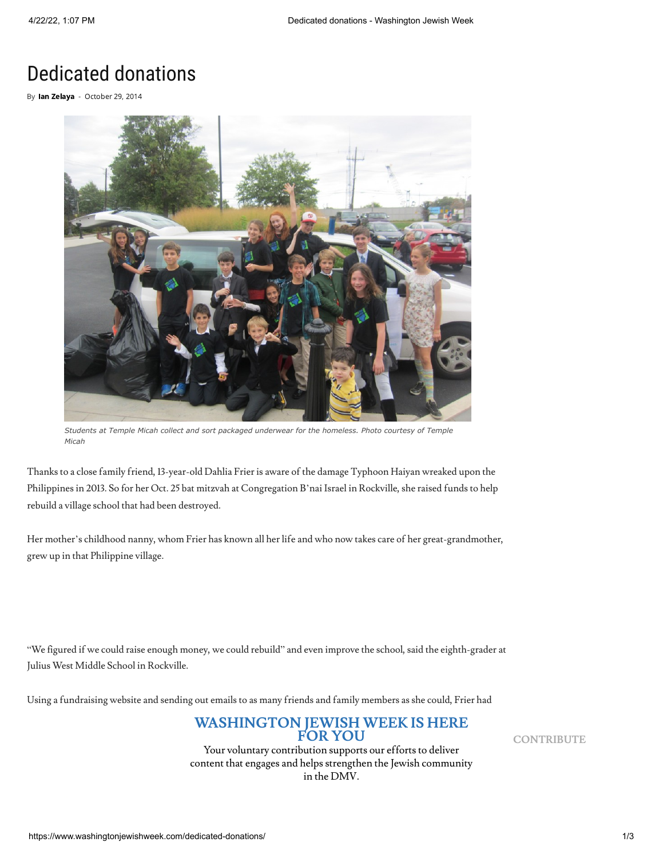## Dedicated donations

By Ian [Zelaya](https://www.washingtonjewishweek.com/author/izelaya/) - October 29, 2014



*Students at Temple Micah collect and sort packaged underwear for the homeless. Photo courtesy of Temple Micah*

Thanks to a close family friend, 13-year-old Dahlia Frier is aware of the damage Typhoon Haiyan wreaked upon the Philippines in 2013. So for her Oct. 25 bat mitzvah at Congregation B'nai Israel in Rockville, she raised funds to help rebuild a village school that had been destroyed.

Her mother's childhood nanny, whom Frier has known all her life and who now takes care of her great-grandmother, grew up in that Philippine village.

"We figured if we could raise enough money, we could rebuild" and even improve the school, said the eighth-grader at Julius West Middle School in Rockville.

Using a fundraising website and sending out emails to as many friends and family members as she could, Frier had

#### $\bf W$ a she as of than  $\bf W$  as of the also asked than  $\bf W$  as  $\bf W$  as  $\bf W$  as  $\bf W$  as  $\bf W$  . To bring with  $\bf W$ donations ofschool supplies that will be sent overseas. **WASHINGTON JEWISH WEEK IS HERE FOR YOU CONTRIBUTE**

Your voluntary contribution supports our efforts to deliver content that engages and helps strengthen the Jewish community in the DMV.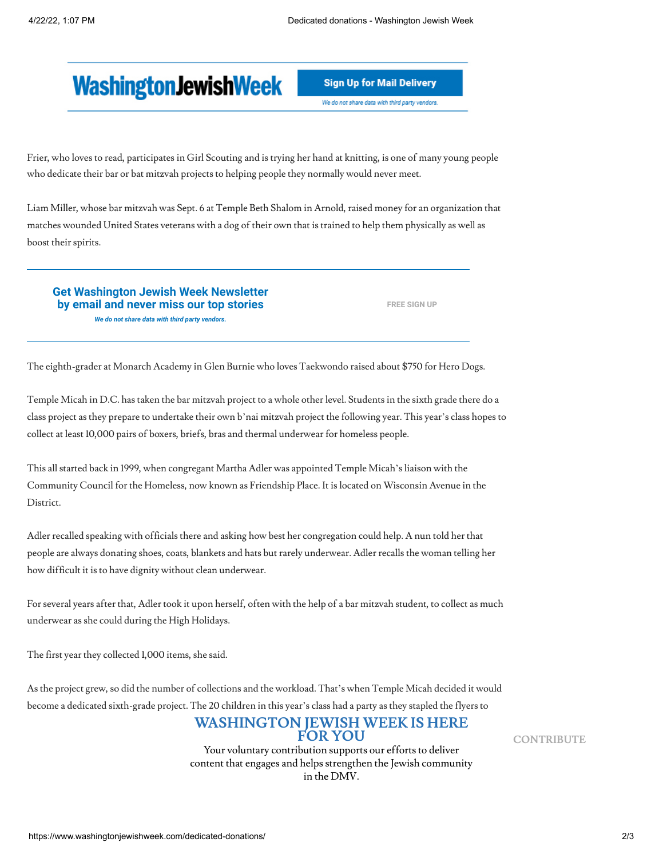# **WashingtonJewishWeek**

**Sign Up for Mail Delivery** 

We do not share data with third party vendors

Frier, who loves to read, participates in Girl Scouting and is trying her hand at knitting, is one of many young people who dedicate their bar or bat mitzvah projects to helping people they normally would never meet.

Liam Miller, whose bar mitzvah was Sept. 6 at Temple Beth Shalom in Arnold, raised money for an organization that matches wounded United States veterans with a dog of their own that is trained to help them physically as well as boost their spirits.

**[Get Washington Jewish Week Newsletter](https://www.washingtonjewishweek.com/enewsletter/?utm_source=WJW-articles&utm_medium=in-article&utm_campaign=enews-signup) by email and never miss our top stories** *We do not share data with third party vendors.*

**[FREE SIGN UP](https://www.washingtonjewishweek.com/enewsletter/?utm_source=WJW-articles&utm_medium=in-article&utm_campaign=enews-signup)**

The eighth-grader at Monarch Academy in Glen Burnie who loves Taekwondo raised about \$750 for Hero Dogs.

Temple Micah in D.C. has taken the bar mitzvah project to a whole other level. Students in the sixth grade there do a class project as they prepare to undertake their own b'nai mitzvah project the following year. This year's class hopes to collect at least 10,000 pairs of boxers, briefs, bras and thermal underwear for homeless people.

This all started back in 1999, when congregant Martha Adler was appointed Temple Micah's liaison with the Community Council for the Homeless, now known as Friendship Place. It is located on Wisconsin Avenue in the District.

Adler recalled speaking with officials there and asking how best her congregation could help. A nun told her that people are always donating shoes, coats, blankets and hats but rarely underwear. Adler recalls the woman telling her how difficult it is to have dignity without clean underwear.

For several years after that, Adler took it upon herself, often with the help of a bar mitzvah student, to collect as much underwear as she could during the High Holidays.

The first year they collected 1,000 items, she said.

As the project grew, so did the number of collections and the workload. That's when Temple Micah decided it would become a dedicated sixth-grade project. The 20 children in this year's class had a party as they stapled the flyers to

### empty bags. They then distributed the bags at Rosh Hashanah services, collected the donations at Yom Kippur services **WASHINGTON JEWISH WEEK IS HERE FOR YOU CONTRIBUTE**

Your voluntary contribution supports our efforts to deliver content that engages and helps strengthen the Jewish community in the DMV.